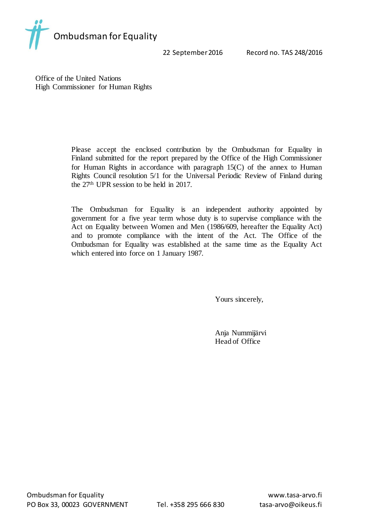

22 September 2016 Record no. TAS 248/2016

Office of the United Nations High Commissioner for Human Rights

> Please accept the enclosed contribution by the Ombudsman for Equality in Finland submitted for the report prepared by the Office of the High Commissioner for Human Rights in accordance with paragraph 15(C) of the annex to Human Rights Council resolution 5/1 for the Universal Periodic Review of Finland during the 27th UPR session to be held in 2017.

> The Ombudsman for Equality is an independent authority appointed by government for a five year term whose duty is to supervise compliance with the Act on Equality between Women and Men (1986/609, hereafter the Equality Act) and to promote compliance with the intent of the Act. The Office of the Ombudsman for Equality was established at the same time as the Equality Act which entered into force on 1 January 1987.

> > Yours sincerely,

Anja Nummijärvi Head of Office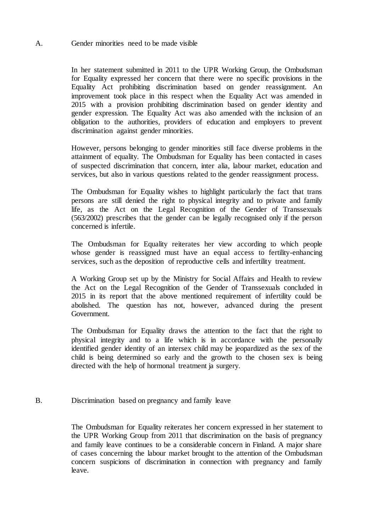## A. Gender minorities need to be made visible

In her statement submitted in 2011 to the UPR Working Group, the Ombudsman for Equality expressed her concern that there were no specific provisions in the Equality Act prohibiting discrimination based on gender reassignment. An improvement took place in this respect when the Equality Act was amended in 2015 with a provision prohibiting discrimination based on gender identity and gender expression. The Equality Act was also amended with the inclusion of an obligation to the authorities, providers of education and employers to prevent discrimination against gender minorities.

However, persons belonging to gender minorities still face diverse problems in the attainment of equality. The Ombudsman for Equality has been contacted in cases of suspected discrimination that concern, inter alia, labour market, education and services, but also in various questions related to the gender reassignment process.

The Ombudsman for Equality wishes to highlight particularly the fact that trans persons are still denied the right to physical integrity and to private and family life, as the Act on the Legal Recognition of the Gender of Transsexuals (563/2002) prescribes that the gender can be legally recognised only if the person concerned is infertile.

The Ombudsman for Equality reiterates her view according to which people whose gender is reassigned must have an equal access to fertility-enhancing services, such as the deposition of reproductive cells and infertility treatment.

A Working Group set up by the Ministry for Social Affairs and Health to review the Act on the Legal Recognition of the Gender of Transsexuals concluded in 2015 in its report that the above mentioned requirement of infertility could be abolished. The question has not, however, advanced during the present Government.

The Ombudsman for Equality draws the attention to the fact that the right to physical integrity and to a life which is in accordance with the personally identified gender identity of an intersex child may be jeopardized as the sex of the child is being determined so early and the growth to the chosen sex is being directed with the help of hormonal treatment ja surgery.

## B. Discrimination based on pregnancy and family leave

The Ombudsman for Equality reiterates her concern expressed in her statement to the UPR Working Group from 2011 that discrimination on the basis of pregnancy and family leave continues to be a considerable concern in Finland. A major share of cases concerning the labour market brought to the attention of the Ombudsman concern suspicions of discrimination in connection with pregnancy and family leave.